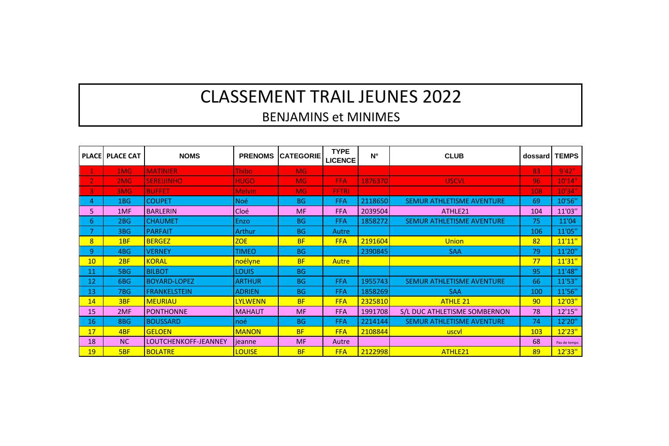## **CLASSEMENT TRAIL JEUNES 2022**

## **BENJAMINS et MINIMES**

| <b>PLACE</b>            | <b>PLACE CAT</b> | <b>NOMS</b>          | <b>PRENOMS</b> | <b>CATEGORIE</b> | <b>TYPE</b><br><b>LICENCE</b> | N°      | <b>CLUB</b>                  | dossard | <b>TEMPS</b> |
|-------------------------|------------------|----------------------|----------------|------------------|-------------------------------|---------|------------------------------|---------|--------------|
| $\mathbf{1}$            | 1MG              | <b>MATINIER</b>      | <b>Thibo</b>   | <b>MG</b>        |                               |         |                              | 83      | 9'42"        |
| $\overline{2}$          | 2M <sub>G</sub>  | <b>SEREIJINHO</b>    | <b>HUGO</b>    | <b>MG</b>        | <b>FFA</b>                    | 1876370 | <b>USCVL</b>                 | 96      | 10'14"       |
| $\overline{\mathbf{3}}$ | 3MG              | <b>BUFFET</b>        | <b>Melvin</b>  | <b>MG</b>        | <b>FFTRI</b>                  |         |                              | 108     | 10'34"       |
| 4                       | 1BG              | <b>COUPET</b>        | <b>Noé</b>     | <b>BG</b>        | <b>FFA</b>                    | 2118650 | SEMUR ATHLETISME AVENTURE    | 69      | 10'56"       |
| 5                       | 1MF              | <b>BARLERIN</b>      | Cloé           | MF               | <b>FFA</b>                    | 2039504 | ATHIF <sub>21</sub>          | 104     | 11'03"       |
| 6                       | 2BG              | <b>CHAUMET</b>       | Enzo           | <b>BG</b>        | <b>FFA</b>                    | 1858272 | SEMUR ATHLETISME AVENTURE    | 75      | 11'04        |
| $\overline{7}$          | 3BG              | <b>PARFAIT</b>       | <b>Arthur</b>  | <b>BG</b>        | Autre                         |         |                              | 106     | 11'05"       |
| 8                       | 1 <sub>BF</sub>  | <b>BERGEZ</b>        | <b>ZOE</b>     | <b>BF</b>        | <b>FFA</b>                    | 2191604 | Union                        | 82      | 11'11''      |
| 9                       | 4BG              | <b>VERNEY</b>        | <b>TIMEO</b>   | <b>BG</b>        |                               | 2390845 | <b>SAA</b>                   | 79      | 11'20"       |
| 10                      | 2 <sub>BF</sub>  | <b>KORAL</b>         | noélyne        | <b>BF</b>        | Autre                         |         |                              | 77      | 11'31''      |
| 11                      | 5BG              | <b>BILBOT</b>        | <b>LOUIS</b>   | <b>BG</b>        |                               |         |                              | 95      | 11'48"       |
| 12                      | 6BG              | <b>BOYARD-LOPEZ</b>  | <b>ARTHUR</b>  | <b>BG</b>        | <b>FFA</b>                    | 1955743 | SEMUR ATHLETISME AVENTURE    | 66      | 11'53"       |
| 13                      | <b>7BG</b>       | <b>FRANKELSTEIN</b>  | <b>ADRIEN</b>  | <b>BG</b>        | FFA                           | 1858269 | <b>SAA</b>                   | 100     | 11'56"       |
| 14                      | 3BF              | <b>MEURIAU</b>       | <b>LYLWENN</b> | <b>BF</b>        | <b>FFA</b>                    | 2325810 | <b>ATHLE 21</b>              | 90      | 12'03"       |
| 15                      | 2MF              | <b>PONTHONNE</b>     | <b>MAHAUT</b>  | MF               | <b>FFA</b>                    | 1991708 | S/L DUC ATHLETISME SOMBERNON | 78      | 12'15"       |
| 16                      | 8BG              | <b>BOUSSARD</b>      | noé            | <b>BG</b>        | <b>FFA</b>                    | 2214144 | SEMUR ATHLETISME AVENTURE    | 74      | 12'20"       |
| 17                      | 4 <sub>RF</sub>  | <b>GELOEN</b>        | <b>MANON</b>   | <b>BF</b>        | <b>FFA</b>                    | 2108844 | uscyl                        | 103     | 12'23"       |
| 18                      | <b>NC</b>        | LOUTCHENKOFF-JEANNEY | ieanne         | <b>MF</b>        | Autre                         |         |                              | 68      | Pas de temos |
| 19                      | <b>SBF</b>       | <b>BOI ATRE</b>      | <b>LOUISE</b>  | <b>BF</b>        | <b>FFA</b>                    | 2122998 | ATHLE21                      | 89      | 12'33"       |